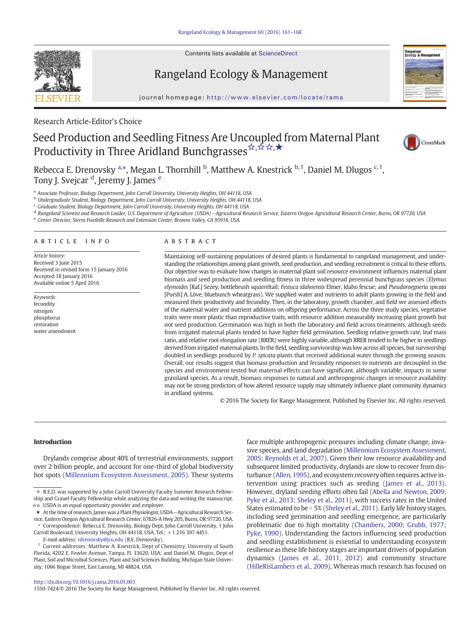Contents lists available at ScienceDirect



Rangeland Ecology & Management



journal homepage: http://www.elsevier.com/locate/rama

Research Article-Editor's Choice

# Seed Production and Seedling Fitness Are Uncoupled from Maternal Plant Productivity in Three Aridland Bunchgrasses \*, \* \*, \*



Rebecca E. Drenovsky <sup>a,\*</sup>, Megan L. Thornhill <sup>b</sup>, Matthew A. Knestrick <sup>b, 1</sup>, Daniel M. Dlugos <sup>c, 1</sup>, Tony J. Svejcar <sup>d</sup>, Jeremy J. James <sup>e</sup>

<sup>a</sup> Associate Professor, Biology Department, John Carroll University, University Heights, OH 44118, USA

<sup>b</sup> Undergraduate Student, Biology Department, John Carroll University, University Heights, OH 44118, USA

<sup>c</sup> Graduate Student, Biology Department, John Carroll University, University Heights, OH 44118, USA

<sup>d</sup> Rangeland Scientist and Research Leader, U.S. Department of Agriculture (USDA)−Agricultural Research Service, Eastern Oregon Agricultural Research Center, Burns, OR 97720, USA

<sup>e</sup> Center Director, Sierra Foothills Research and Extension Center, Browns Valley, CA 95918, USA.

# article info abstract

Article history: Received 3 June 2015 Received in revised form 15 January 2016 Accepted 18 January 2016 Available online 5 April 2016

Keywords: fecundity nitrogen phosphorus restoration water amendment

Maintaining self-sustaining populations of desired plants is fundamental to rangeland management, and understanding the relationships among plant growth, seed production, and seedling recruitment is critical to these efforts. Our objective was to evaluate how changes in maternal plant soil resource environment influences maternal plant biomass and seed production and seedling fitness in three widespread perennial bunchgrass species (Elymus elymoides [Raf.] Sezey, bottlebrush squirreltail; Festuca idahoensis Elmer, Idaho fescue; and Pseudoroegneria spicata [Pursh] A. Löve, bluebunch wheatgrass). We supplied water and nutrients to adult plants growing in the field and measured their productivity and fecundity. Then, in the laboratory, growth chamber, and field we assessed effects of the maternal water and nutrient additions on offspring performance. Across the three study species, vegetative traits were more plastic than reproductive traits, with resource addition measurably increasing plant growth but not seed production. Germination was high in both the laboratory and field across treatments, although seeds from irrigated maternal plants tended to have higher field germination. Seedling relative growth rate, leaf mass ratio, and relative root elongation rate (RRER) were highly variable, although RRER tended to be higher in seedlings derived from irrigated maternal plants. In the field, seedling survivorship was low across all species, but survivorship doubled in seedlings produced by P. spicata plants that received additional water through the growing season. Overall, our results suggest that biomass production and fecundity responses to nutrients are decoupled in the species and environment tested but maternal effects can have significant, although variable, impacts in some grassland species. As a result, biomass responses to natural and anthropogenic changes in resource availability may not be strong predictors of how altered resource supply may ultimately influence plant community dynamics in aridland systems.

© 2016 The Society for Range Management. Published by Elsevier Inc. All rights reserved.

# Introduction

Drylands comprise about 40% of terrestrial environments, support over 2 billion people, and account for one-third of global biodiversity hot spots [\(Millennium Ecosystem Assessment, 2005](#page-7-0)). These systems

★ At the time of research, James was a Plant Physiologist, USDA−Agricultural Research Service, Eastern Oregon Agricultural Research Center, 67826-A Hwy 205, Burns, OR 97720, USA.

⁎ Correspondence: Rebecca E. Drenovsky, Biology Dept, John Carroll University, 1 John Carroll Boulevard, University Heights, OH 44118, USA. Tel.: +1 216 397 4451.

E-mail address: [rdrenovsky@jcu.edu](mailto:rdrenovsky@jcu.edu) (R.E. Drenovsky).

face multiple anthropogenic pressures including climate change, invasive species, and land degradation ([Millennium Ecosystem Assessment,](#page-7-0) [2005; Reynolds et al., 2007\)](#page-7-0). Given their low resource availability and subsequent limited productivity, drylands are slow to recover from disturbance ([Allen, 1995](#page-6-0)), and ecosystem recovery often requires active intervention using practices such as seeding [\(James et al., 2013](#page-7-0)). However, dryland seeding efforts often fail ([Abella and Newton, 2009;](#page-6-0) [Pyke et al., 2013; Sheley et al., 2011](#page-6-0)), with success rates in the United States estimated to be  $<$  5% ([Sheley et al., 2011](#page-7-0)). Early life history stages, including seed germination and seedling emergence, are particularly problematic due to high mortality [\(Chambers, 2000; Grubb, 1977;](#page-6-0) [Pyke, 1990\)](#page-6-0). Understanding the factors influencing seed production and seedling establishment is essential to understanding ecosystem resilience as these life history stages are important drivers of population dynamics [\(James et al., 2011, 2012\)](#page-7-0) and community structure [\(HilleRisLambers et al., 2009](#page-7-0)). Whereas much research has focused on

1550-7424/© 2016 The Society for Range Management. Published by Elsevier Inc. All rights reserved.

<sup>☆</sup> R.E.D. was supported by a John Carroll University Faculty Summer Research Fellowship and Grauel Faculty Fellowship while analyzing the data and writing the manuscript. ☆☆ USDA is an equal opportunity provider and employer.

<sup>&</sup>lt;sup>1</sup> Current addresses: Matthew A. Knestrick, Dept of Chemistry, University of South Florida, 4202 E. Fowler Avenue, Tampa, FL 33620, USA; and Daniel M. Dlugos, Dept of Plant, Soil and Microbial Sciences, Plant and Soil Sciences Building, Michigan State University, 1066 Bogue Street, East Lansing, MI 48824, USA.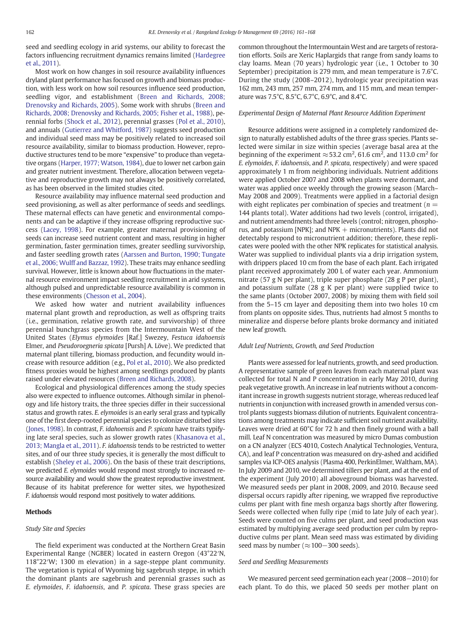seed and seedling ecology in arid systems, our ability to forecast the factors influencing recruitment dynamics remains limited ([Hardegree](#page-7-0) [et al., 2011](#page-7-0)).

Most work on how changes in soil resource availability influences dryland plant performance has focused on growth and biomass production, with less work on how soil resources influence seed production, seedling vigor, and establishment [\(Breen and Richards, 2008;](#page-6-0) [Drenovsky and Richards, 2005](#page-6-0)). Some work with shrubs [\(Breen and](#page-6-0) [Richards, 2008; Drenovsky and Richards, 2005; Fisher et al., 1988](#page-6-0)), perennial forbs ([Shock et al., 2012](#page-7-0)), perennial grasses ([Pol et al., 2010](#page-7-0)), and annuals [\(Gutierrez and Whitford, 1987](#page-7-0)) suggests seed production and individual seed mass may be positively related to increased soil resource availability, similar to biomass production. However, reproductive structures tend to be more "expensive" to produce than vegetative organs ([Harper, 1977; Watson, 1984\)](#page-7-0), due to lower net carbon gain and greater nutrient investment. Therefore, allocation between vegetative and reproductive growth may not always be positively correlated, as has been observed in the limited studies cited.

Resource availability may influence maternal seed production and seed provisioning, as well as alter performance of seeds and seedlings. These maternal effects can have genetic and environmental components and can be adaptive if they increase offspring reproductive success ([Lacey, 1998\)](#page-7-0). For example, greater maternal provisioning of seeds can increase seed nutrient content and mass, resulting in higher germination, faster germination times, greater seedling survivorship, and faster seedling growth rates ([Aarssen and Burton, 1990; Tungate](#page-6-0) [et al., 2006; Wulff and Bazzaz, 1992](#page-6-0)). These traits may enhance seedling survival. However, little is known about how fluctuations in the maternal resource environment impact seedling recruitment in arid systems, although pulsed and unpredictable resource availability is common in these environments ([Chesson et al., 2004\)](#page-6-0).

We asked how water and nutrient availability influences maternal plant growth and reproduction, as well as offspring traits (i.e., germination, relative growth rate, and survivorship) of three perennial bunchgrass species from the Intermountain West of the United States (Elymus elymoides [Raf.] Swezey, Festuca idahoensis Elmer, and Pseudoroegneria spicata [Pursh] A. Löve). We predicted that maternal plant tillering, biomass production, and fecundity would increase with resource addition (e.g., [Pol et al., 2010\)](#page-7-0). We also predicted fitness proxies would be highest among seedlings produced by plants raised under elevated resources ([Breen and Richards, 2008\)](#page-6-0).

Ecological and physiological differences among the study species also were expected to influence outcomes. Although similar in phenology and life history traits, the three species differ in their successional status and growth rates. E. elymoides is an early seral grass and typically one of the first deep-rooted perennial species to colonize disturbed sites ([Jones, 1998](#page-7-0)). In contrast, F. idahoensis and P. spicata have traits typifying late seral species, such as slower growth rates ([Khasanova et al.,](#page-7-0) [2013; Mangla et al., 2011\)](#page-7-0). F. idahoensis tends to be restricted to wetter sites, and of our three study species, it is generally the most difficult to establish [\(Sheley et al., 2006](#page-7-0)). On the basis of these trait descriptions, we predicted E. elymoides would respond most strongly to increased resource availability and would show the greatest reproductive investment. Because of its habitat preference for wetter sites, we hypothesized F. idahoensis would respond most positively to water additions.

# Methods

# Study Site and Species

The field experiment was conducted at the Northern Great Basin Experimental Range (NGBER) located in eastern Oregon (43°22′N, 118°22′W; 1300 m elevation) in a sage-steppe plant community. The vegetation is typical of Wyoming big sagebrush steppe, in which the dominant plants are sagebrush and perennial grasses such as E. elymoides, F. idahoensis, and P. spicata. These grass species are common throughout the Intermountain West and are targets of restoration efforts. Soils are Xeric Haplargids that range from sandy loams to clay loams. Mean (70 years) hydrologic year (i.e., 1 October to 30 September) precipitation is 279 mm, and mean temperature is 7.6°C. During the study (2008–2012), hydrologic year precipitation was 162 mm, 243 mm, 257 mm, 274 mm, and 115 mm, and mean temperature was 7.5°C, 8.5°C, 6.7°C, 6.9°C, and 8.4°C.

# Experimental Design of Maternal Plant Resource Addition Experiment

Resource additions were assigned in a completely randomized design to naturally established adults of the three grass species. Plants selected were similar in size within species (average basal area at the beginning of the experiment  $\approx$  53.2 cm<sup>2</sup>, 61.6 cm<sup>2</sup>, and 113.0 cm<sup>2</sup> for E. elymoides, F. idahoensis, and P. spicata, respectively) and were spaced approximately 1 m from neighboring individuals. Nutrient additions were applied October 2007 and 2008 when plants were dormant, and water was applied once weekly through the growing season (March– May 2008 and 2009). Treatments were applied in a factorial design with eight replicates per combination of species and treatment ( $n =$ 144 plants total). Water additions had two levels (control, irrigated), and nutrient amendments had three levels (control; nitrogen, phosphorus, and potassium [NPK]; and NPK  $+$  micronutrients). Plants did not detectably respond to micronutrient addition; therefore, these replicates were pooled with the other NPK replicates for statistical analysis. Water was supplied to individual plants via a drip irrigation system, with drippers placed 10 cm from the base of each plant. Each irrigated plant received approximately 200 L of water each year. Ammonium nitrate (57 g N per plant), triple super phosphate (28 g P per plant), and potassium sulfate (28 g K per plant) were supplied twice to the same plants (October 2007, 2008) by mixing them with field soil from the 5–15 cm layer and depositing them into two holes 10 cm from plants on opposite sides. Thus, nutrients had almost 5 months to mineralize and disperse before plants broke dormancy and initiated new leaf growth.

# Adult Leaf Nutrients, Growth, and Seed Production

Plants were assessed for leaf nutrients, growth, and seed production. A representative sample of green leaves from each maternal plant was collected for total N and P concentration in early May 2010, during peak vegetative growth. An increase in leaf nutrients without a concomitant increase in growth suggests nutrient storage, whereas reduced leaf nutrients in conjunction with increased growth in amended versus control plants suggests biomass dilution of nutrients. Equivalent concentrations among treatments may indicate sufficient soil nutrient availability. Leaves were dried at 60°C for 72 h and then finely ground with a ball mill. Leaf N concentration was measured by micro Dumas combustion on a CN analyzer (ECS 4010, Costech Analytical Technologies, Ventura, CA), and leaf P concentration was measured on dry-ashed and acidified samples via ICP-OES analysis (Plasma 400, PerkinElmer, Waltham, MA). In July 2009 and 2010, we determined tillers per plant, and at the end of the experiment (July 2010) all aboveground biomass was harvested. We measured seeds per plant in 2008, 2009, and 2010. Because seed dispersal occurs rapidly after ripening, we wrapped five reproductive culms per plant with fine mesh organza bags shortly after flowering. Seeds were collected when fully ripe (mid to late July of each year). Seeds were counted on five culms per plant, and seed production was estimated by multiplying average seed production per culm by reproductive culms per plant. Mean seed mass was estimated by dividing seed mass by number ( $\approx$ 100−300 seeds).

# Seed and Seedling Measurements

We measured percent seed germination each year (2008−2010) for each plant. To do this, we placed 50 seeds per mother plant on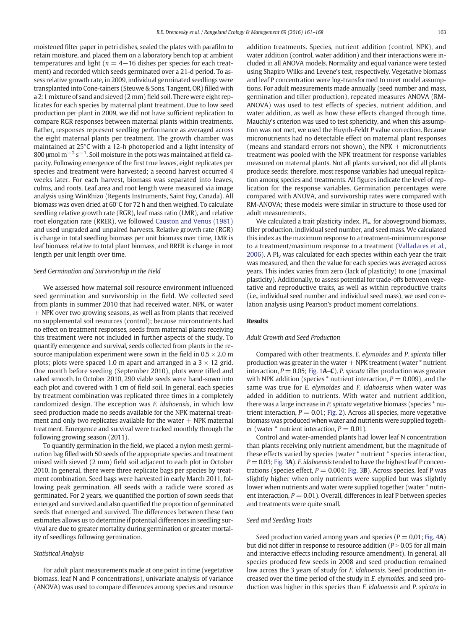moistened filter paper in petri dishes, sealed the plates with parafilm to retain moisture, and placed them on a laboratory bench top at ambient temperatures and light ( $n = 4-16$  dishes per species for each treatment) and recorded which seeds germinated over a 21-d period. To assess relative growth rate, in 2009, individual germinated seedlings were transplanted into Cone-tainers (Steuwe & Sons, Tangent, OR) filled with a 2:1 mixture of sand and sieved (2 mm) field soil. There were eight replicates for each species by maternal plant treatment. Due to low seed production per plant in 2009, we did not have sufficient replication to compare RGR responses between maternal plants within treatments. Rather, responses represent seedling performance as averaged across the eight maternal plants per treatment. The growth chamber was maintained at 25°C with a 12-h photoperiod and a light intensity of 800 µmol m $^{-2}$  s $^{-1}$ . Soil moisture in the pots was maintained at field capacity. Following emergence of the first true leaves, eight replicates per species and treatment were harvested; a second harvest occurred 4 weeks later. For each harvest, biomass was separated into leaves, culms, and roots. Leaf area and root length were measured via image analysis using WinRhizo (Regents Instruments, Saint Foy, Canada). All biomass was oven dried at 60°C for 72 h and then weighed. To calculate seedling relative growth rate (RGR), leaf mass ratio (LMR), and relative root elongation rate (RRER), we followed [Causton and Venus \(1981\)](#page-6-0) and used ungraded and unpaired harvests. Relative growth rate (RGR) is change in total seedling biomass per unit biomass over time, LMR is leaf biomass relative to total plant biomass, and RRER is change in root length per unit length over time.

# Seed Germination and Survivorship in the Field

We assessed how maternal soil resource environment influenced seed germination and survivorship in the field. We collected seed from plants in summer 2010 that had received water, NPK, or water + NPK over two growing seasons, as well as from plants that received no supplemental soil resources (control); because micronutrients had no effect on treatment responses, seeds from maternal plants receiving this treatment were not included in further aspects of the study. To quantify emergence and survival, seeds collected from plants in the resource manipulation experiment were sown in the field in  $0.5 \times 2.0$  m plots; plots were spaced 1.0 m apart and arranged in a  $3 \times 12$  grid. One month before seeding (September 2010), plots were tilled and raked smooth. In October 2010, 290 viable seeds were hand-sown into each plot and covered with 1 cm of field soil. In general, each species by treatment combination was replicated three times in a completely randomized design. The exception was F. idahoensis, in which low seed production made no seeds available for the NPK maternal treatment and only two replicates available for the water  $+$  NPK maternal treatment. Emergence and survival were tracked monthly through the following growing season (2011).

To quantify germination in the field, we placed a nylon mesh germination bag filled with 50 seeds of the appropriate species and treatment mixed with sieved (2 mm) field soil adjacent to each plot in October 2010. In general, there were three replicate bags per species by treatment combination. Seed bags were harvested in early March 2011, following peak germination. All seeds with a radicle were scored as germinated. For 2 years, we quantified the portion of sown seeds that emerged and survived and also quantified the proportion of germinated seeds that emerged and survived. The differences between these two estimates allows us to determine if potential differences in seedling survival are due to greater mortality during germination or greater mortality of seedlings following germination.

# Statistical Analysis

For adult plant measurements made at one point in time (vegetative biomass, leaf N and P concentrations), univariate analysis of variance (ANOVA) was used to compare differences among species and resource addition treatments. Species, nutrient addition (control, NPK), and water addition (control, water addition) and their interactions were included in all ANOVA models. Normality and equal variance were tested using Shapiro Wilks and Levene's test, respectively. Vegetative biomass and leaf P concentration were log-transformed to meet model assumptions. For adult measurements made annually (seed number and mass, germination and tiller production), repeated measures ANOVA (RM-ANOVA) was used to test effects of species, nutrient addition, and water addition, as well as how these effects changed through time. Mauchly's criterion was used to test sphericity, and when this assumption was not met, we used the Huynh-Feldt P value correction. Because micronutrients had no detectable effect on maternal plant responses (means and standard errors not shown), the NPK  $+$  micronutrients treatment was pooled with the NPK treatment for response variables measured on maternal plants. Not all plants survived, nor did all plants produce seeds; therefore, most response variables had unequal replication among species and treatments. All figures indicate the level of replication for the response variables. Germination percentages were compared with ANOVA, and survivorship rates were compared with RM-ANOVA; these models were similar in structure to those used for adult measurements.

We calculated a trait plasticity index, PI<sub>v</sub>, for aboveground biomass, tiller production, individual seed number, and seed mass. We calculated this index as the maximum response to a treatment-minimum response to a treatment/maximum response to a treatment [\(Valladares et al.,](#page-7-0)  $2006$ ). A PI<sub>v</sub> was calculated for each species within each year the trait was measured, and then the value for each species was averaged across years. This index varies from zero (lack of plasticity) to one (maximal plasticity). Additionally, to assess potential for trade-offs between vegetative and reproductive traits, as well as within reproductive traits (i.e., individual seed number and individual seed mass), we used correlation analysis using Pearson's product moment correlations.

# **Results**

#### Adult Growth and Seed Production

Compared with other treatments, E. elymoides and P. spicata tiller production was greater in the water  $+$  NPK treatment (water  $*$  nutrient interaction,  $P = 0.05$ ; [Fig. 1](#page-3-0)A–C). P. spicata tiller production was greater with NPK addition (species  $*$  nutrient interaction,  $P = 0.009$ ), and the same was true for E. elymoides and F. idahoensis when water was added in addition to nutrients. With water and nutrient addition, there was a large increase in P. spicata vegetative biomass (species \* nutrient interaction,  $P = 0.01$ ; [Fig. 2\)](#page-3-0). Across all species, more vegetative biomass was produced when water and nutrients were supplied together (water  $*$  nutrient interaction,  $P = 0.01$ ).

Control and water-amended plants had lower leaf N concentration than plants receiving only nutrient amendment, but the magnitude of these effects varied by species (water \* nutrient \* species interaction,  $P = 0.03$ ; [Fig. 3](#page-3-0)A). F. idahoensis tended to have the highest leaf P concentrations (species effect,  $P = 0.004$ ; [Fig. 3](#page-3-0)B). Across species, leaf P was slightly higher when only nutrients were supplied but was slightly lower when nutrients and water were supplied together (water \* nutrient interaction,  $P = 0.01$ ). Overall, differences in leaf P between species and treatments were quite small.

# Seed and Seedling Traits

Seed production varied among years and species ( $P = 0.01$ ; [Fig. 4](#page-4-0)A) but did not differ in response to resource addition ( $P > 0.05$  for all main and interactive effects including resource amendment). In general, all species produced few seeds in 2008 and seed production remained low across the 3 years of study for F. idahoensis. Seed production increased over the time period of the study in E. elymoides, and seed production was higher in this species than F. idahoensis and P. spicata in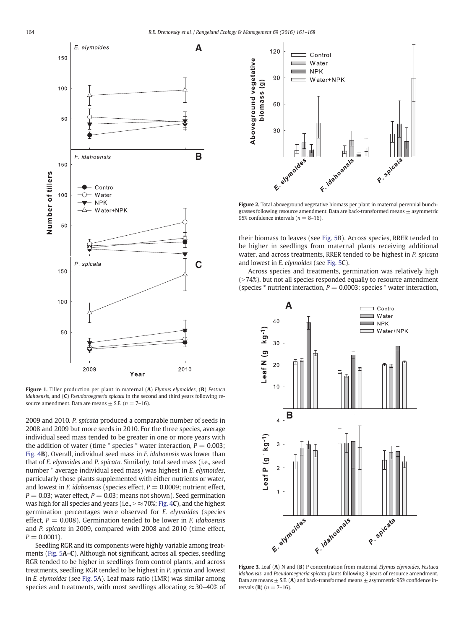<span id="page-3-0"></span>

Figure 1. Tiller production per plant in maternal (A) Elymus elymoides, (B) Festuca idahoensis, and (C) Pseudoroegneria spicata in the second and third years following resource amendment. Data are means  $\pm$  S.E. ( $n = 7-16$ ).

2009 and 2010. P. spicata produced a comparable number of seeds in 2008 and 2009 but more seeds in 2010. For the three species, average individual seed mass tended to be greater in one or more years with the addition of water (time  $*$  species  $*$  water interaction,  $P = 0.003$ ; [Fig. 4](#page-4-0)B). Overall, individual seed mass in F. idahoensis was lower than that of E. elymoides and P. spicata. Similarly, total seed mass (i.e., seed number \* average individual seed mass) was highest in E. elymoides, particularly those plants supplemented with either nutrients or water, and lowest in *F. idahoensis* (species effect,  $P = 0.0009$ ; nutrient effect,  $P = 0.03$ ; water effect,  $P = 0.03$ ; means not shown). Seed germination was high for all species and years (i.e.,  $\approx$  70%; [Fig. 4](#page-4-0)C), and the highest germination percentages were observed for E. elymoides (species effect,  $P = 0.008$ ). Germination tended to be lower in *F. idahoensis* and P. spicata in 2009, compared with 2008 and 2010 (time effect,  $P = 0.0001$ .

Seedling RGR and its components were highly variable among treatments [\(Fig. 5](#page-5-0)A–C). Although not significant, across all species, seedling RGR tended to be higher in seedlings from control plants, and across treatments, seedling RGR tended to be highest in P. spicata and lowest in E. elymoides (see [Fig. 5](#page-5-0)A). Leaf mass ratio (LMR) was similar among species and treatments, with most seedlings allocating  $\approx$ 30–40% of



Figure 2. Total aboveground vegetative biomass per plant in maternal perennial bunchgrasses following resource amendment. Data are back-transformed means  $\pm$  asymmetric 95% confidence intervals ( $n = 8-16$ ).

their biomass to leaves (see [Fig. 5](#page-5-0)B). Across species, RRER tended to be higher in seedlings from maternal plants receiving additional water, and across treatments, RRER tended to be highest in P. spicata and lowest in E. elymoides (see [Fig. 5](#page-5-0)C).

Across species and treatments, germination was relatively high  $($  > 74%), but not all species responded equally to resource amendment (species  $*$  nutrient interaction,  $P = 0.0003$ ; species  $*$  water interaction,



Figure 3. Leaf (A) N and (B) P concentration from maternal *Elymus elymoides*. Festuca idahoensis, and Pseudoroegneria spicata plants following 3 years of resource amendment. Data are means  $\pm$  S.E. (A) and back-transformed means  $\pm$  asymmetric 95% confidence intervals (**B**)  $(n = 7-16)$ .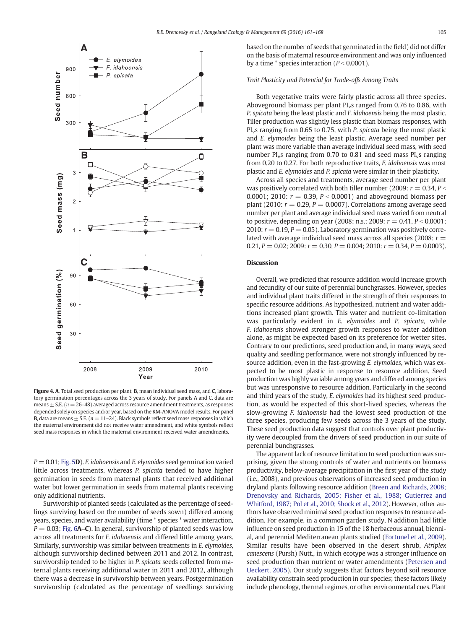<span id="page-4-0"></span>

Figure 4. A, Total seed production per plant, B, mean individual seed mass, and C, laboratory germination percentages across the 3 years of study. For panels A and C, data are means  $+$  S.E. ( $n = 26-48$ ) averaged across resource amendment treatments, as responses depended solely on species and/or year, based on the RM-ANOVA model results. For panel **B**, data are means  $\pm$  S.E. ( $n = 11-24$ ). Black symbols reflect seed mass responses in which the maternal environment did not receive water amendment, and white symbols reflect seed mass responses in which the maternal environment received water amendments.

 $P = 0.01$ ; [Fig. 5](#page-5-0)D). F. idahoensis and E. elymoides seed germination varied little across treatments, whereas P. spicata tended to have higher germination in seeds from maternal plants that received additional water but lower germination in seeds from maternal plants receiving only additional nutrients.

Survivorship of planted seeds (calculated as the percentage of seedlings surviving based on the number of seeds sown) differed among years, species, and water availability (time \* species \* water interaction,  $P = 0.03$ ; [Fig. 6](#page-6-0)A–C). In general, survivorship of planted seeds was low across all treatments for F. idahoensis and differed little among years. Similarly, survivorship was similar between treatments in E. elymoides, although survivorship declined between 2011 and 2012. In contrast, survivorship tended to be higher in P. spicata seeds collected from maternal plants receiving additional water in 2011 and 2012, although there was a decrease in survivorship between years. Postgermination survivorship (calculated as the percentage of seedlings surviving based on the number of seeds that germinated in the field) did not differ on the basis of maternal resource environment and was only influenced by a time  $*$  species interaction ( $P < 0.0001$ ).

#### Trait Plasticity and Potential for Trade-offs Among Traits

Both vegetative traits were fairly plastic across all three species. Aboveground biomass per plant  $PI<sub>v</sub>s$  ranged from 0.76 to 0.86, with P. spicata being the least plastic and F. idahoensis being the most plastic. Tiller production was slightly less plastic than biomass responses, with PI<sub>v</sub>s ranging from 0.65 to 0.75, with P. spicata being the most plastic and E. elymoides being the least plastic. Average seed number per plant was more variable than average individual seed mass, with seed number  $PI<sub>v</sub>s$  ranging from 0.70 to 0.81 and seed mass  $PI<sub>v</sub>s$  ranging from 0.20 to 0.27. For both reproductive traits, F. idahoensis was most plastic and E. elymoides and P. spicata were similar in their plasticity.

Across all species and treatments, average seed number per plant was positively correlated with both tiller number (2009:  $r = 0.34$ ,  $P <$ 0.0001; 2010:  $r = 0.39$ ,  $P < 0.0001$ ) and aboveground biomass per plant (2010:  $r = 0.29$ ,  $P = 0.0007$ ). Correlations among average seed number per plant and average individual seed mass varied from neutral to positive, depending on year (2008: n.s.; 2009:  $r = 0.41$ ,  $P < 0.0001$ ; 2010:  $r = 0.19$ ,  $P = 0.05$ ). Laboratory germination was positively correlated with average individual seed mass across all species (2008:  $r =$ 0.21,  $P = 0.02$ ; 2009:  $r = 0.30$ ,  $P = 0.004$ ; 2010:  $r = 0.34$ ,  $P = 0.0003$ ).

# **Discussion**

Overall, we predicted that resource addition would increase growth and fecundity of our suite of perennial bunchgrasses. However, species and individual plant traits differed in the strength of their responses to specific resource additions. As hypothesized, nutrient and water additions increased plant growth. This water and nutrient co-limitation was particularly evident in E. elymoides and P. spicata, while F. idahoensis showed stronger growth responses to water addition alone, as might be expected based on its preference for wetter sites. Contrary to our predictions, seed production and, in many ways, seed quality and seedling performance, were not strongly influenced by resource addition, even in the fast-growing E. elymoides, which was expected to be most plastic in response to resource addition. Seed production was highly variable among years and differed among species but was unresponsive to resource addition. Particularly in the second and third years of the study, E. elymoides had its highest seed production, as would be expected of this short-lived species, whereas the slow-growing F. idahoensis had the lowest seed production of the three species, producing few seeds across the 3 years of the study. These seed production data suggest that controls over plant productivity were decoupled from the drivers of seed production in our suite of perennial bunchgrasses.

The apparent lack of resource limitation to seed production was surprising, given the strong controls of water and nutrients on biomass productivity, below-average precipitation in the first year of the study (i.e., 2008), and previous observations of increased seed production in dryland plants following resource addition [\(Breen and Richards, 2008;](#page-6-0) [Drenovsky and Richards, 2005; Fisher et al., 1988; Gutierrez and](#page-6-0) [Whitford, 1987; Pol et al., 2010; Shock et al., 2012\)](#page-6-0). However, other authors have observed minimal seed production responses to resource addition. For example, in a common garden study, N addition had little influence on seed production in 15 of the 18 herbaceous annual, biennial, and perennial Mediterranean plants studied ([Fortunel et al., 2009](#page-6-0)). Similar results have been observed in the desert shrub, Atriplex canescens (Pursh) Nutt., in which ecotype was a stronger influence on seed production than nutrient or water amendments ([Petersen and](#page-7-0) [Ueckert, 2005\)](#page-7-0). Our study suggests that factors beyond soil resource availability constrain seed production in our species; these factors likely include phenology, thermal regimes, or other environmental cues. Plant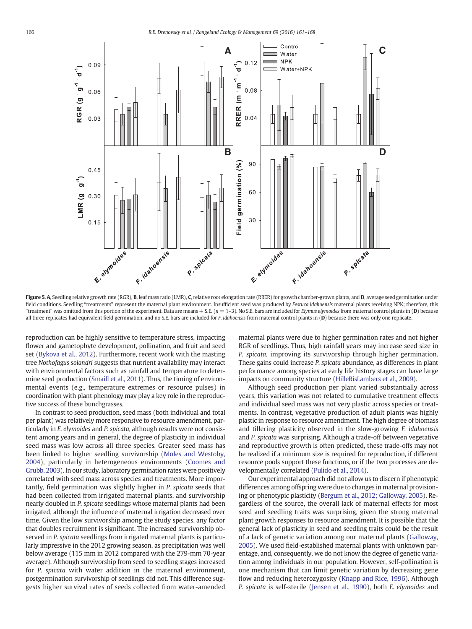<span id="page-5-0"></span>

Figure 5. A, Seedling relative growth rate (RGR), B, leaf mass ratio (LMR), C, relative root elongation rate (RRER) for growth chamber-grown plants, and D, average seed germination under field conditions. Seedling "treatments" represent the maternal plant environment. Insufficient seed was produced by Festuca idahoensis maternal plants receiving NPK; therefore, this "treatment" was omitted from this portion of the experiment. Data are means  $\pm$  S.E. ( $n = 1$ –3). No S.E. bars are included for *Elymus elymoides* from maternal control plants in (**D**) because all three replicates had equivalent field germination, and no S.E. bars are included for F. idahoensis from maternal control plants in (D) because there was only one replicate.

reproduction can be highly sensitive to temperature stress, impacting flower and gametophyte development, pollination, and fruit and seed set ([Bykova et al., 2012](#page-6-0)). Furthermore, recent work with the masting tree Nothofagus solandri suggests that nutrient availability may interact with environmental factors such as rainfall and temperature to determine seed production [\(Smaill et al., 2011](#page-7-0)). Thus, the timing of environmental events (e.g., temperature extremes or resource pulses) in coordination with plant phenology may play a key role in the reproductive success of these bunchgrasses.

In contrast to seed production, seed mass (both individual and total per plant) was relatively more responsive to resource amendment, particularly in E. elymoides and P. spicata, although results were not consistent among years and in general, the degree of plasticity in individual seed mass was low across all three species. Greater seed mass has been linked to higher seedling survivorship [\(Moles and Westoby,](#page-7-0) [2004\)](#page-7-0), particularly in heterogeneous environments ([Coomes and](#page-6-0) [Grubb, 2003\)](#page-6-0). In our study, laboratory germination rates were positively correlated with seed mass across species and treatments. More importantly, field germination was slightly higher in P. spicata seeds that had been collected from irrigated maternal plants, and survivorship nearly doubled in P. spicata seedlings whose maternal plants had been irrigated, although the influence of maternal irrigation decreased over time. Given the low survivorship among the study species, any factor that doubles recruitment is significant. The increased survivorship observed in P. spicata seedlings from irrigated maternal plants is particularly impressive in the 2012 growing season, as precipitation was well below average (115 mm in 2012 compared with the 279-mm 70-year average). Although survivorship from seed to seedling stages increased for P. spicata with water addition in the maternal environment, postgermination survivorship of seedlings did not. This difference suggests higher survival rates of seeds collected from water-amended

maternal plants were due to higher germination rates and not higher RGR of seedlings. Thus, high rainfall years may increase seed size in P. spicata, improving its survivorship through higher germination. These gains could increase P. spicata abundance, as differences in plant performance among species at early life history stages can have large impacts on community structure [\(HilleRisLambers et al., 2009\)](#page-7-0).

Although seed production per plant varied substantially across years, this variation was not related to cumulative treatment effects and individual seed mass was not very plastic across species or treatments. In contrast, vegetative production of adult plants was highly plastic in response to resource amendment. The high degree of biomass and tillering plasticity observed in the slow-growing F. idahoensis and P. spicata was surprising. Although a trade-off between vegetative and reproductive growth is often predicted, these trade-offs may not be realized if a minimum size is required for reproduction, if different resource pools support these functions, or if the two processes are developmentally correlated ([Pulido et al., 2014](#page-7-0)).

Our experimental approach did not allow us to discern if phenotypic differences among offspring were due to changes in maternal provisioning or phenotypic plasticity [\(Bergum et al., 2012; Galloway, 2005](#page-6-0)). Regardless of the source, the overall lack of maternal effects for most seed and seedling traits was surprising, given the strong maternal plant growth responses to resource amendment. It is possible that the general lack of plasticity in seed and seedling traits could be the result of a lack of genetic variation among our maternal plants [\(Galloway,](#page-6-0) [2005\)](#page-6-0). We used field-established maternal plants with unknown parentage, and, consequently, we do not know the degree of genetic variation among individuals in our population. However, self-pollination is one mechanism that can limit genetic variation by decreasing gene flow and reducing heterozygosity ([Knapp and Rice, 1996\)](#page-7-0). Although P. spicata is self-sterile [\(Jensen et al., 1990\)](#page-7-0), both E. elymoides and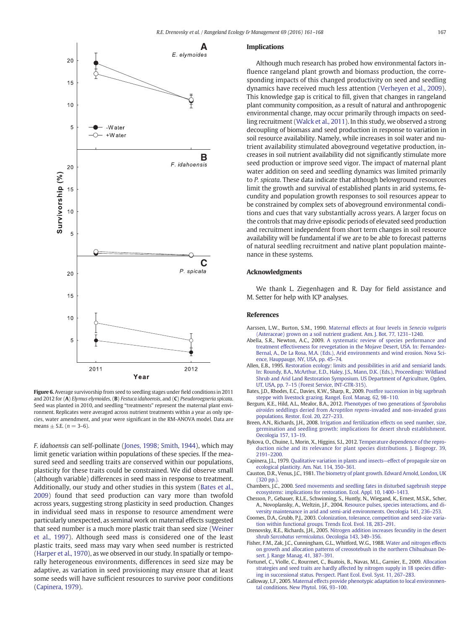<span id="page-6-0"></span>

Figure 6. Average survivorship from seed to seedling stages under field conditions in 2011 and 2012 for (A) Elymus elymoides, (B) Festuca idahoensis, and (C) Pseudoroegneria spicata. Seed was planted in 2010, and seedling "treatments" represent the maternal plant environment. Replicates were averaged across nutrient treatments within a year as only species, water amendment, and year were significant in the RM-ANOVA model. Data are means  $\pm$  S.E. ( $n = 3-6$ ).

F. idahoensis can self-pollinate [\(Jones, 1998; Smith, 1944](#page-7-0)), which may limit genetic variation within populations of these species. If the measured seed and seedling traits are conserved within our populations, plasticity for these traits could be constrained. We did observe small (although variable) differences in seed mass in response to treatment. Additionally, our study and other studies in this system (Bates et al., 2009) found that seed production can vary more than twofold across years, suggesting strong plasticity in seed production. Changes in individual seed mass in response to resource amendment were particularly unexpected, as seminal work on maternal effects suggested that seed number is a much more plastic trait than seed size ([Weiner](#page-7-0) [et al., 1997](#page-7-0)). Although seed mass is considered one of the least plastic traits, seed mass may vary when seed number is restricted [\(Harper et al., 1970](#page-7-0)), as we observed in our study. In spatially or temporally heterogeneous environments, differences in seed size may be adaptive, as variation in seed provisioning may ensure that at least some seeds will have sufficient resources to survive poor conditions (Capinera, 1979).

# Implications

Although much research has probed how environmental factors influence rangeland plant growth and biomass production, the corresponding impacts of this changed productivity on seed and seedling dynamics have received much less attention ([Verheyen et al., 2009](#page-7-0)). This knowledge gap is critical to fill, given that changes in rangeland plant community composition, as a result of natural and anthropogenic environmental change, may occur primarily through impacts on seedling recruitment ([Walck et al., 2011](#page-7-0)). In this study, we observed a strong decoupling of biomass and seed production in response to variation in soil resource availability. Namely, while increases in soil water and nutrient availability stimulated aboveground vegetative production, increases in soil nutrient availability did not significantly stimulate more seed production or improve seed vigor. The impact of maternal plant water addition on seed and seedling dynamics was limited primarily to P. spicata. These data indicate that although belowground resources limit the growth and survival of established plants in arid systems, fecundity and population growth responses to soil resources appear to be constrained by complex sets of aboveground environmental conditions and cues that vary substantially across years. A larger focus on the controls that may drive episodic periods of elevated seed production and recruitment independent from short term changes in soil resource availability will be fundamental if we are to be able to forecast patterns of natural seedling recruitment and native plant population maintenance in these systems.

# Acknowledgments

We thank L. Ziegenhagen and R. Day for field assistance and M. Setter for help with ICP analyses.

#### References

- Aarssen, L.W., Burton, S.M., 1990. [Maternal effects at four levels in](http://refhub.elsevier.com/S1550-7424(16)00005-1/rf0005) Senecio vulgaris [\(Asteraceae\) grown on a soil nutrient gradient. Am. J. Bot. 77, 1231](http://refhub.elsevier.com/S1550-7424(16)00005-1/rf0005)–1240.
- Abella, S.R., Newton, A.C., 2009. [A systematic review of species performance and](http://refhub.elsevier.com/S1550-7424(16)00005-1/rf0010) [treatment effectiveness for revegetation in the Mojave Desert, USA. In: Fernandez-](http://refhub.elsevier.com/S1550-7424(16)00005-1/rf0010)[Bernal, A., De La Rosa, M.A. \(Eds.\), Arid environments and wind erosion. Nova Sci](http://refhub.elsevier.com/S1550-7424(16)00005-1/rf0010)[ence, Hauppauge, NY, USA, pp. 45](http://refhub.elsevier.com/S1550-7424(16)00005-1/rf0010)–74.
- Allen, E.B., 1995. [Restoration ecology: limits and possibilities in arid and semiarid lands.](http://refhub.elsevier.com/S1550-7424(16)00005-1/rf0015) [In: Roundy, B.A., McArthur, E.D., Haley, J.S., Mann, D.K. \(Eds.\), Proceedings: Wildland](http://refhub.elsevier.com/S1550-7424(16)00005-1/rf0015) [Shrub and Arid Land Restoration Symposium. US Department of Agriculture, Ogden,](http://refhub.elsevier.com/S1550-7424(16)00005-1/rf0015) UT, USA, pp. 7–[15 \(Forest Service, INT-GTR-315\)](http://refhub.elsevier.com/S1550-7424(16)00005-1/rf0015).
- Bates, J.D., Rhodes, E.C., Davies, K.W., Sharp, R., 2009. Postfi[re succession in big sagebrush](http://refhub.elsevier.com/S1550-7424(16)00005-1/rf0020) [steppe with livestock grazing. Rangel. Ecol. Manag. 62, 98](http://refhub.elsevier.com/S1550-7424(16)00005-1/rf0020)–110.
- Bergum, K.E., Hild, A.L., Mealor, B.A., 2012. [Phenotypes of two generations of](http://refhub.elsevier.com/S1550-7424(16)00005-1/rf0025) Sporobolus airoides seddlings deried from Acroptilon repens[-invaded and non-invaded grass](http://refhub.elsevier.com/S1550-7424(16)00005-1/rf0025) [populations. Restor. Ecol. 20, 227](http://refhub.elsevier.com/S1550-7424(16)00005-1/rf0025)–233.
- Breen, A.N., Richards, J.H., 2008. [Irrigation and fertilization effects on seed number, size,](http://refhub.elsevier.com/S1550-7424(16)00005-1/rf0030) [germination and seedling growth: implications for desert shrub establishment.](http://refhub.elsevier.com/S1550-7424(16)00005-1/rf0030) [Oecologia 157, 13](http://refhub.elsevier.com/S1550-7424(16)00005-1/rf0030)–19.
- Bykova, O., Chuine, I., Morin, X., Higgins, S.I., 2012. [Temperature dependence of the repro](http://refhub.elsevier.com/S1550-7424(16)00005-1/rf0035)[duction niche and its relevance for plant species distributions. J. Biogeogr. 39,](http://refhub.elsevier.com/S1550-7424(16)00005-1/rf0035) [2191](http://refhub.elsevier.com/S1550-7424(16)00005-1/rf0035)–2200.
- Capinera, J.L., 1979. [Qualitative variation in plants and insects](http://refhub.elsevier.com/S1550-7424(16)00005-1/rf0040)—effect of propagule size on [ecological plasticity. Am. Nat. 114, 350](http://refhub.elsevier.com/S1550-7424(16)00005-1/rf0040)–361.
- Causton, D.R., Venus, J.C., 1981. [The biometry of plant growth. Edward Arnold, London, UK](http://refhub.elsevier.com/S1550-7424(16)00005-1/rf0045) [\(320 pp.\)](http://refhub.elsevier.com/S1550-7424(16)00005-1/rf0045)
- Chambers, J.C., 2000. [Seed movements and seedling fates in disturbed sagebrush steppe](http://refhub.elsevier.com/S1550-7424(16)00005-1/rf0050) [ecosystems: implications for restoration. Ecol. Appl. 10, 1400](http://refhub.elsevier.com/S1550-7424(16)00005-1/rf0050)–1413.
- Chesson, P., Gebauer, R.L.E., Schwinning, S., Huntly, N., Wiegand, K., Ernest, M.S.K., Scher, A., Novoplansky, A., Weltzin, J.F., 2004. [Resource pulses, species interactions, and di](http://refhub.elsevier.com/S1550-7424(16)00005-1/rf0055)[versity maintenance in arid and semi-arid environments. Oecologia 141, 236](http://refhub.elsevier.com/S1550-7424(16)00005-1/rf0055)–253.
- Coomes, D.A., Grubb, P.J., 2003. [Colonization, tolerance, competition and seed-size varia](http://refhub.elsevier.com/S1550-7424(16)00005-1/rf0060)[tion within functional groups. Trends Ecol. Evol. 18, 283](http://refhub.elsevier.com/S1550-7424(16)00005-1/rf0060)–291.
- Drenovsky, R.E., Richards, J.H., 2005. [Nitrogen addition increases fecundity in the desert](http://refhub.elsevier.com/S1550-7424(16)00005-1/rf0065) shrub [Sarcobatus vermiculatus](http://refhub.elsevier.com/S1550-7424(16)00005-1/rf0065). Oecologia 143, 349–356.
- Fisher, F.M., Zak, J.C., Cunningham, G.L., Whitford, W.G., 1988. [Water and nitrogen effects](http://refhub.elsevier.com/S1550-7424(16)00005-1/rf0070) [on growth and allocation patterns of creosotebush in the northern Chihuahuan De](http://refhub.elsevier.com/S1550-7424(16)00005-1/rf0070)[sert. J. Range Manag. 41, 387](http://refhub.elsevier.com/S1550-7424(16)00005-1/rf0070)–391.
- Fortunel, C., Violle, C., Rourmet, C., Buatois, B., Navas, M.L., Garnier, E., 2009. [Allocation](http://refhub.elsevier.com/S1550-7424(16)00005-1/rf0075) [strategies and seed traits are hardly affected by nitrogen supply in 18 species differ](http://refhub.elsevier.com/S1550-7424(16)00005-1/rf0075)[ing in successional status. Perspect. Plant Ecol. Evol. Syst. 11, 267](http://refhub.elsevier.com/S1550-7424(16)00005-1/rf0075)–283.
- Galloway, L.F., 2005. [Maternal effects provide phenotypic adaptation to local environmen](http://refhub.elsevier.com/S1550-7424(16)00005-1/rf0080)[tal conditions. New Phytol. 166, 93](http://refhub.elsevier.com/S1550-7424(16)00005-1/rf0080)–100.